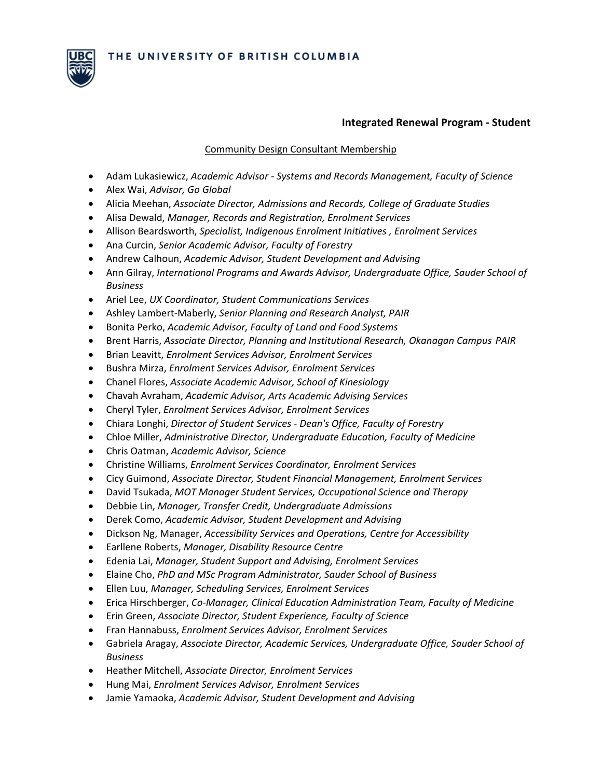

## **Integrated Renewal Program ‐ Student**

## Community Design Consultant Membership

- Adam Lukasiewicz, *Academic Advisor ‐ Systems and Records Management, Faculty of Science*
- Alex Wai, *Advisor, Go Global*
- Alicia Meehan, *Associate Director, Admissions and Records, College of Graduate Studies*
- Alisa Dewald, *Manager, Records and Registration, Enrolment Services*
- Allison Beardsworth, *Specialist, Indigenous Enrolment Initiatives , Enrolment Services*
- Ana Curcin, *Senior Academic Advisor, Faculty of Forestry*
- Andrew Calhoun, *Academic Advisor, Student Development and Advising*
- Ann Gilray, *International Programs and Awards Advisor, Undergraduate Office, Sauder School of Business*
- Ariel Lee, *UX Coordinator, Student Communications Services*
- Ashley Lambert‐Maberly, *Senior Planning and Research Analyst, PAIR*
- Bonita Perko, *Academic Advisor, Faculty of Land and Food Systems*
- Brent Harris, *Associate Director, Planning and Institutional Research, Okanagan Campus PAIR*
- Brian Leavitt, *Enrolment Services Advisor, Enrolment Services*
- Bushra Mirza, *Enrolment Services Advisor, Enrolment Services*
- Chanel Flores, *Associate Academic Advisor, School of Kinesiology*
- Chavah Avraham, *Academic Advisor, Arts Academic Advising Services*
- Cheryl Tyler, *Enrolment Services Advisor, Enrolment Services*
- Chiara Longhi, *Director of Student Services ‐ Dean's Office, Faculty of Forestry*
- Chloe Miller, *Administrative Director, Undergraduate Education, Faculty of Medicine*
- Chris Oatman, *Academic Advisor, Science*
- Christine Williams, *Enrolment Services Coordinator, Enrolment Services*
- Cicy Guimond, *Associate Director, Student Financial Management, Enrolment Services*
- David Tsukada, *MOT Manager Student Services, Occupational Science and Therapy*
- Debbie Lin, *Manager, Transfer Credit, Undergraduate Admissions*
- Derek Como, *Academic Advisor, Student Development and Advising*
- Dickson Ng, Manager, *Accessibility Services and Operations, Centre for Accessibility*
- Earllene Roberts, *Manager, Disability Resource Centre*
- Edenia Lai, *Manager, Student Support and Advising, Enrolment Services*
- Elaine Cho, *PhD and MSc Program Administrator, Sauder School of Business*
- Ellen Luu, *Manager, Scheduling Services, Enrolment Services*
- Erica Hirschberger, *Co‐Manager, Clinical Education Administration Team, Faculty of Medicine*
- Erin Green, *Associate Director, Student Experience, Faculty of Science*
- Fran Hannabuss, *Enrolment Services Advisor, Enrolment Services*
- Gabriela Aragay, *Associate Director, Academic Services, Undergraduate Office, Sauder School of Business*
- Heather Mitchell, *Associate Director, Enrolment Services*
- Hung Mai, *Enrolment Services Advisor, Enrolment Services*
- Jamie Yamaoka, *Academic Advisor, Student Development and Advising*